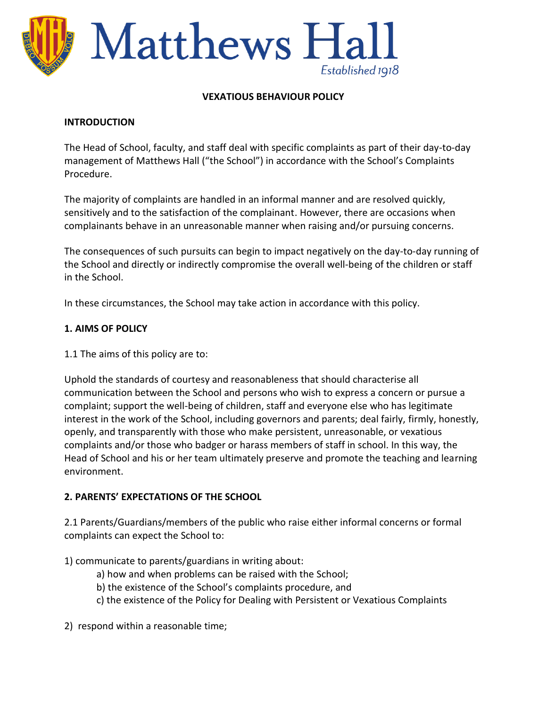

#### **VEXATIOUS BEHAVIOUR POLICY**

#### **INTRODUCTION**

The Head of School, faculty, and staff deal with specific complaints as part of their day-to-day management of Matthews Hall ("the School") in accordance with the School's Complaints Procedure.

The majority of complaints are handled in an informal manner and are resolved quickly, sensitively and to the satisfaction of the complainant. However, there are occasions when complainants behave in an unreasonable manner when raising and/or pursuing concerns.

The consequences of such pursuits can begin to impact negatively on the day-to-day running of the School and directly or indirectly compromise the overall well-being of the children or staff in the School.

In these circumstances, the School may take action in accordance with this policy.

#### **1. AIMS OF POLICY**

1.1 The aims of this policy are to:

Uphold the standards of courtesy and reasonableness that should characterise all communication between the School and persons who wish to express a concern or pursue a complaint; support the well-being of children, staff and everyone else who has legitimate interest in the work of the School, including governors and parents; deal fairly, firmly, honestly, openly, and transparently with those who make persistent, unreasonable, or vexatious complaints and/or those who badger or harass members of staff in school. In this way, the Head of School and his or her team ultimately preserve and promote the teaching and learning environment.

#### **2. PARENTS' EXPECTATIONS OF THE SCHOOL**

2.1 Parents/Guardians/members of the public who raise either informal concerns or formal complaints can expect the School to:

1) communicate to parents/guardians in writing about:

- a) how and when problems can be raised with the School;
- b) the existence of the School's complaints procedure, and
- c) the existence of the Policy for Dealing with Persistent or Vexatious Complaints
- 2) respond within a reasonable time;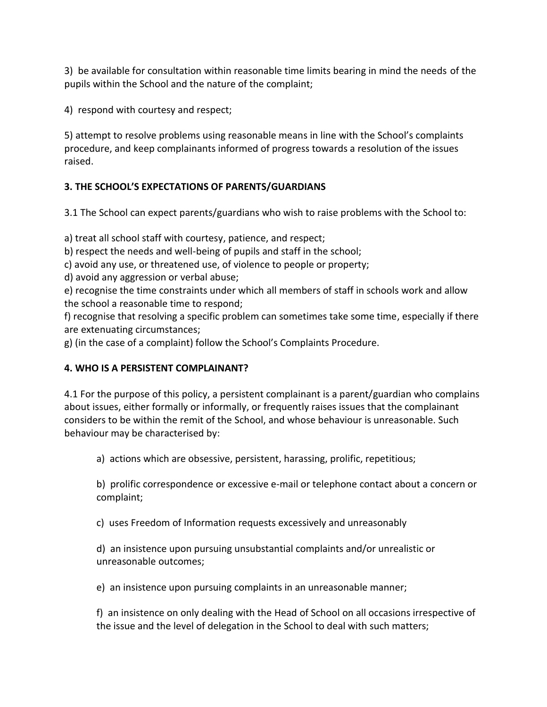3) be available for consultation within reasonable time limits bearing in mind the needs of the pupils within the School and the nature of the complaint;

4) respond with courtesy and respect;

5) attempt to resolve problems using reasonable means in line with the School's complaints procedure, and keep complainants informed of progress towards a resolution of the issues raised.

# **3. THE SCHOOL'S EXPECTATIONS OF PARENTS/GUARDIANS**

3.1 The School can expect parents/guardians who wish to raise problems with the School to:

a) treat all school staff with courtesy, patience, and respect;

b) respect the needs and well-being of pupils and staff in the school;

c) avoid any use, or threatened use, of violence to people or property;

d) avoid any aggression or verbal abuse;

e) recognise the time constraints under which all members of staff in schools work and allow the school a reasonable time to respond;

f) recognise that resolving a specific problem can sometimes take some time, especially if there are extenuating circumstances;

g) (in the case of a complaint) follow the School's Complaints Procedure.

## **4. WHO IS A PERSISTENT COMPLAINANT?**

4.1 For the purpose of this policy, a persistent complainant is a parent/guardian who complains about issues, either formally or informally, or frequently raises issues that the complainant considers to be within the remit of the School, and whose behaviour is unreasonable. Such behaviour may be characterised by:

a) actions which are obsessive, persistent, harassing, prolific, repetitious;

b) prolific correspondence or excessive e-mail or telephone contact about a concern or complaint;

c) uses Freedom of Information requests excessively and unreasonably

d) an insistence upon pursuing unsubstantial complaints and/or unrealistic or unreasonable outcomes;

e) an insistence upon pursuing complaints in an unreasonable manner;

f) an insistence on only dealing with the Head of School on all occasions irrespective of the issue and the level of delegation in the School to deal with such matters;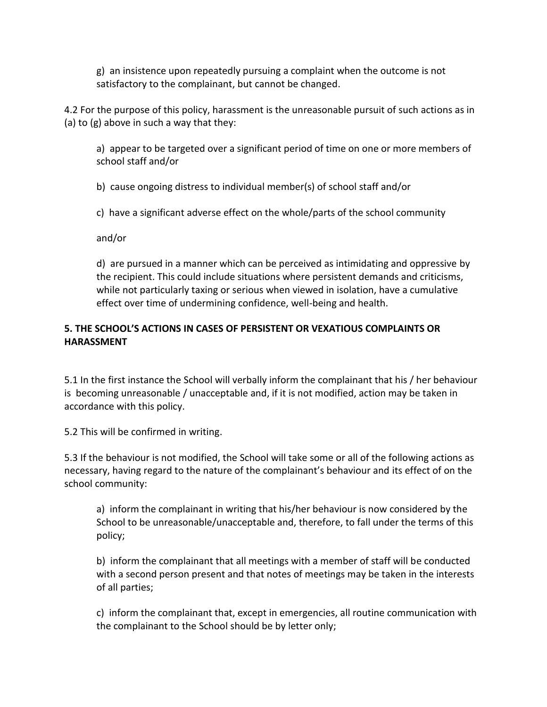g) an insistence upon repeatedly pursuing a complaint when the outcome is not satisfactory to the complainant, but cannot be changed.

4.2 For the purpose of this policy, harassment is the unreasonable pursuit of such actions as in (a) to (g) above in such a way that they:

a) appear to be targeted over a significant period of time on one or more members of school staff and/or

b) cause ongoing distress to individual member(s) of school staff and/or

c) have a significant adverse effect on the whole/parts of the school community

and/or

d) are pursued in a manner which can be perceived as intimidating and oppressive by the recipient. This could include situations where persistent demands and criticisms, while not particularly taxing or serious when viewed in isolation, have a cumulative effect over time of undermining confidence, well-being and health.

### **5. THE SCHOOL'S ACTIONS IN CASES OF PERSISTENT OR VEXATIOUS COMPLAINTS OR HARASSMENT**

5.1 In the first instance the School will verbally inform the complainant that his / her behaviour is becoming unreasonable / unacceptable and, if it is not modified, action may be taken in accordance with this policy.

5.2 This will be confirmed in writing.

5.3 If the behaviour is not modified, the School will take some or all of the following actions as necessary, having regard to the nature of the complainant's behaviour and its effect of on the school community:

a) inform the complainant in writing that his/her behaviour is now considered by the School to be unreasonable/unacceptable and, therefore, to fall under the terms of this policy;

b) inform the complainant that all meetings with a member of staff will be conducted with a second person present and that notes of meetings may be taken in the interests of all parties;

c) inform the complainant that, except in emergencies, all routine communication with the complainant to the School should be by letter only;